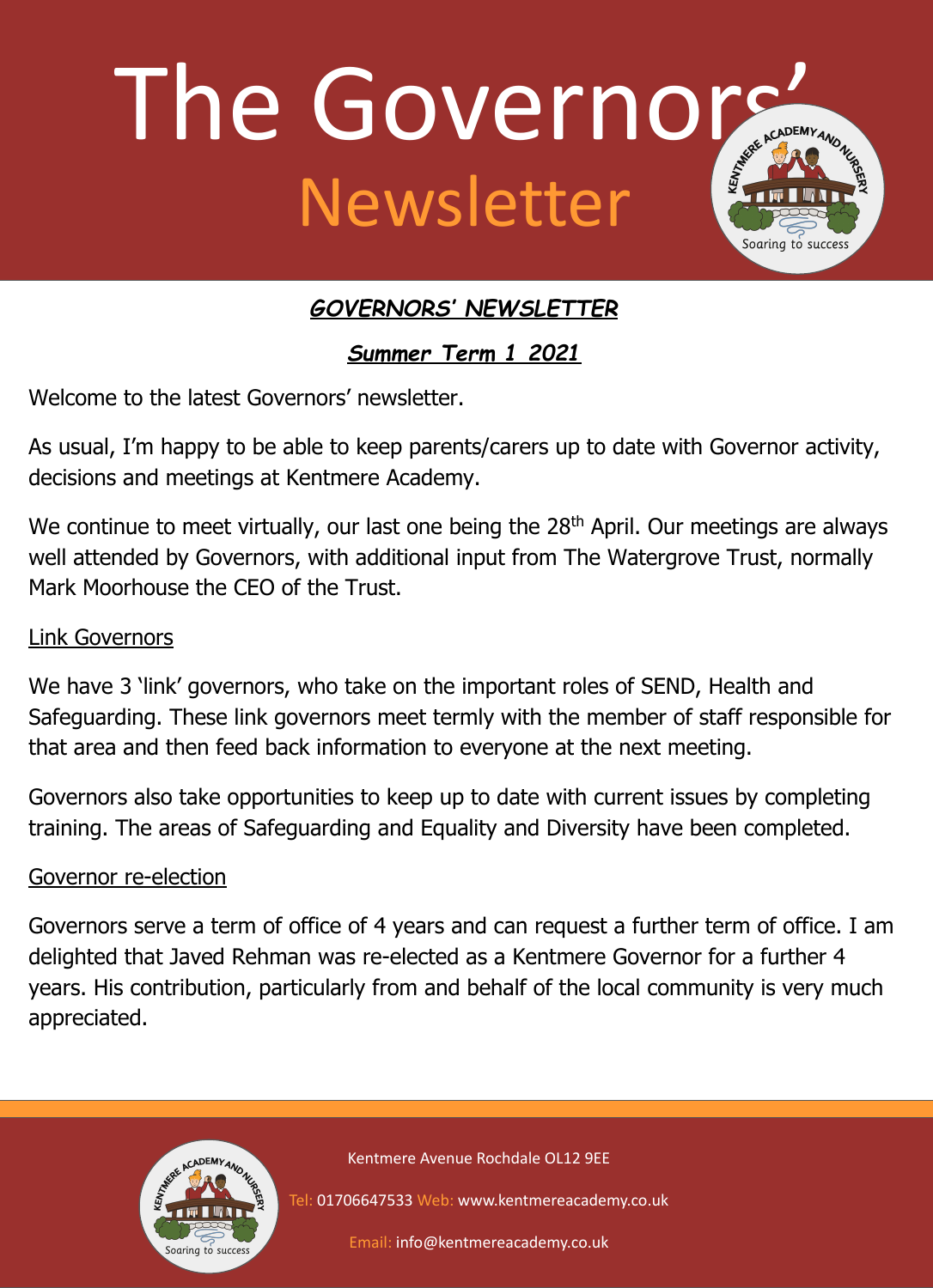

# *GOVERNORS' NEWSLETTER*

*Summer Term 1 2021*

Welcome to the latest Governors' newsletter.

As usual, I'm happy to be able to keep parents/carers up to date with Governor activity, decisions and meetings at Kentmere Academy.

We continue to meet virtually, our last one being the 28<sup>th</sup> April. Our meetings are always well attended by Governors, with additional input from The Watergrove Trust, normally Mark Moorhouse the CEO of the Trust.

# Link Governors

We have 3 'link' governors, who take on the important roles of SEND, Health and Safeguarding. These link governors meet termly with the member of staff responsible for that area and then feed back information to everyone at the next meeting.

Governors also take opportunities to keep up to date with current issues by completing training. The areas of Safeguarding and Equality and Diversity have been completed.

## Governor re-election

Governors serve a term of office of 4 years and can request a further term of office. I am delighted that Javed Rehman was re-elected as a Kentmere Governor for a further 4 years. His contribution, particularly from and behalf of the local community is very much appreciated.



Kentmere Avenue Rochdale OL12 9EE

Tel: 01706647533 Web: www.kentmereacademy.co.uk

Email: info@kentmereacademy.co.uk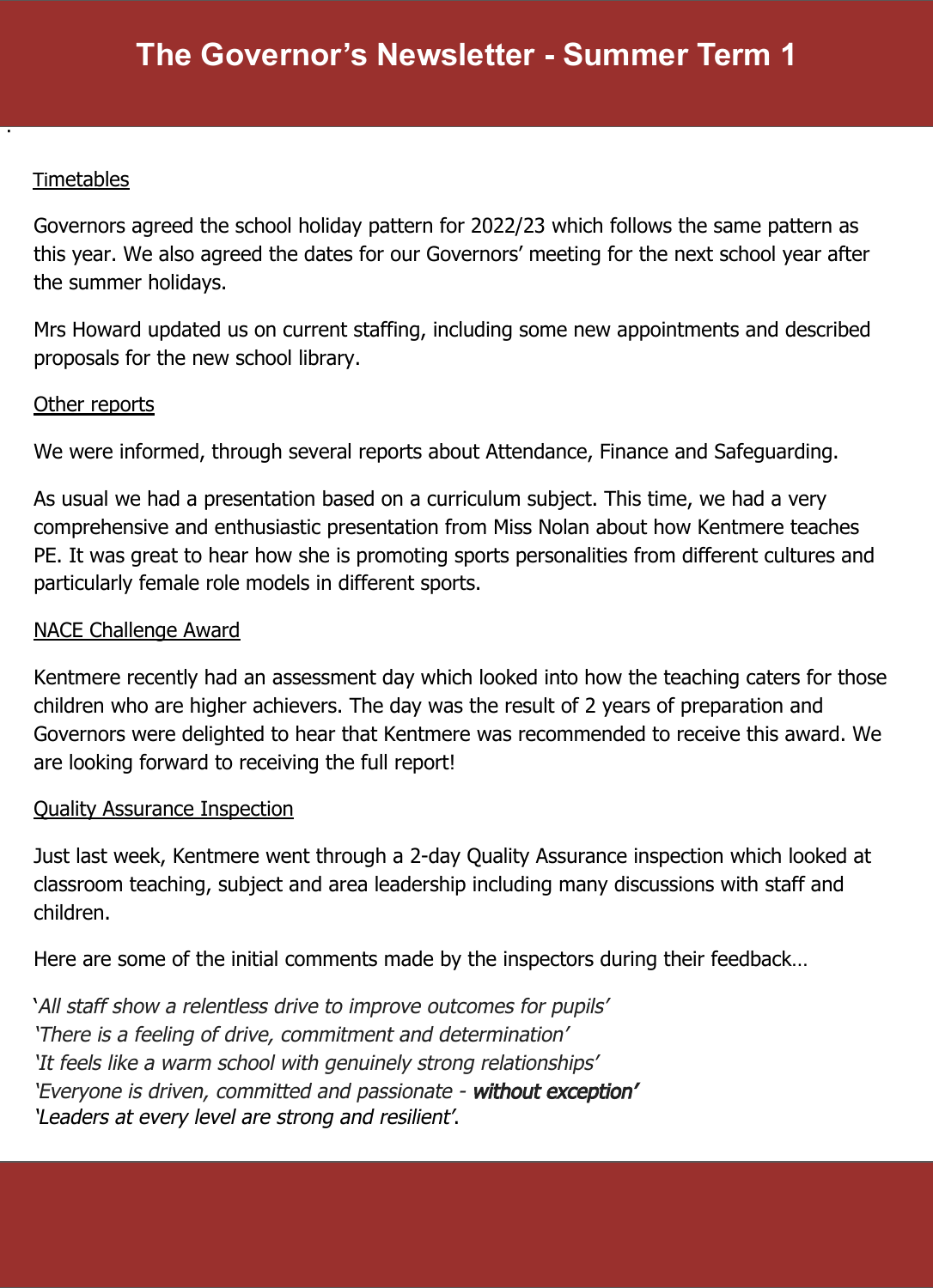## Timetables

·

Governors agreed the school holiday pattern for 2022/23 which follows the same pattern as this year. We also agreed the dates for our Governors' meeting for the next school year after the summer holidays.

Mrs Howard updated us on current staffing, including some new appointments and described proposals for the new school library.

#### Other reports

We were informed, through several reports about Attendance, Finance and Safeguarding.

As usual we had a presentation based on a curriculum subject. This time, we had a very comprehensive and enthusiastic presentation from Miss Nolan about how Kentmere teaches PE. It was great to hear how she is promoting sports personalities from different cultures and particularly female role models in different sports.

### NACE Challenge Award

Kentmere recently had an assessment day which looked into how the teaching caters for those children who are higher achievers. The day was the result of 2 years of preparation and Governors were delighted to hear that Kentmere was recommended to receive this award. We are looking forward to receiving the full report!

#### Quality Assurance Inspection

Just last week, Kentmere went through a 2-day Quality Assurance inspection which looked at classroom teaching, subject and area leadership including many discussions with staff and children.

Here are some of the initial comments made by the inspectors during their feedback…

'All staff show a relentless drive to improve outcomes for pupils' 'There is a feeling of drive, commitment and determination' 'It feels like a warm school with genuinely strong relationships' 'Everyone is driven, committed and passionate - without exception' 'Leaders at every level are strong and resilient'.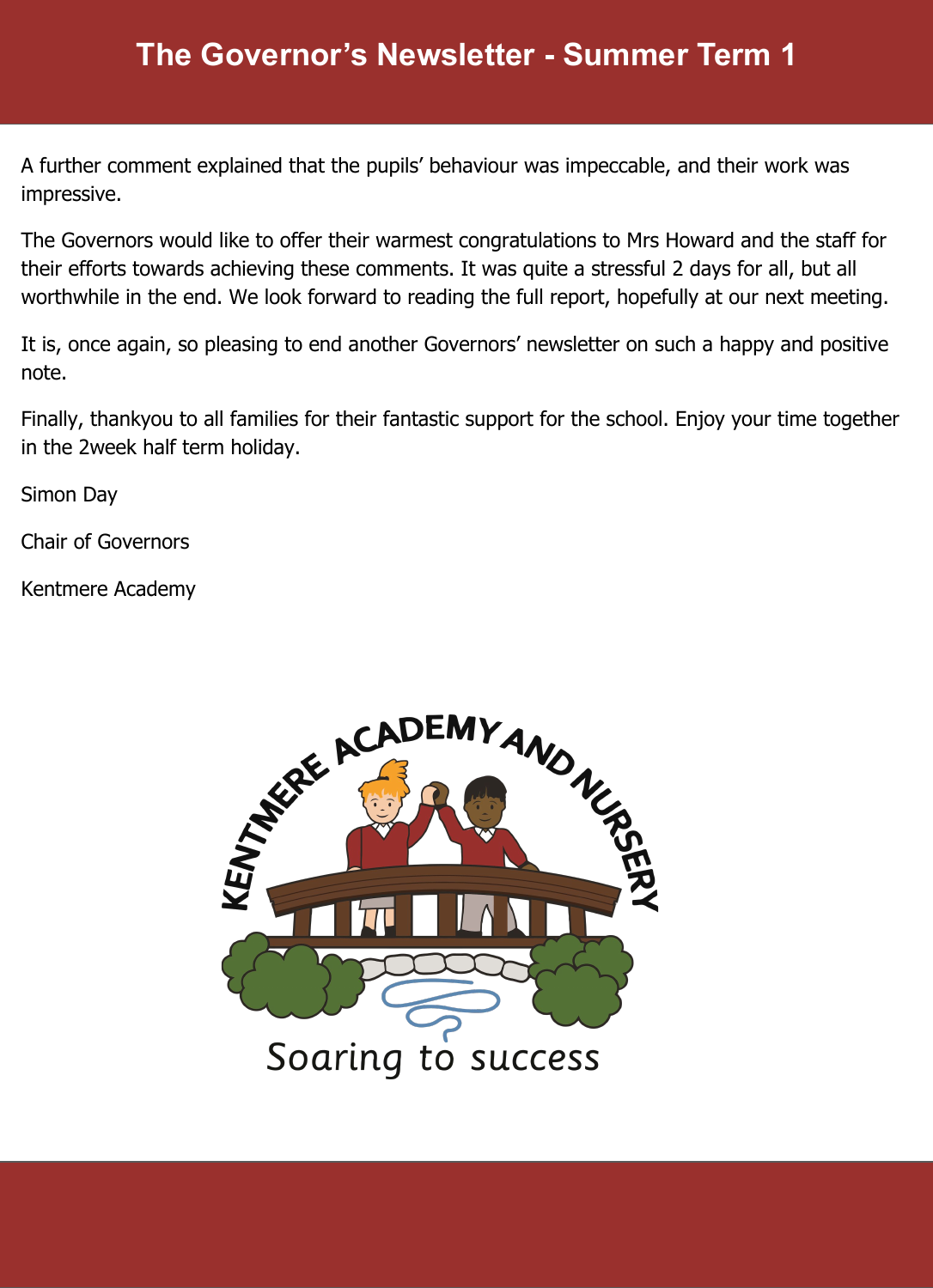A further comment explained that the pupils' behaviour was impeccable, and their work was impressive.

The Governors would like to offer their warmest congratulations to Mrs Howard and the staff for their efforts towards achieving these comments. It was quite a stressful 2 days for all, but all worthwhile in the end. We look forward to reading the full report, hopefully at our next meeting.

It is, once again, so pleasing to end another Governors' newsletter on such a happy and positive note.

Finally, thankyou to all families for their fantastic support for the school. Enjoy your time together in the 2week half term holiday.

Simon Day

Chair of Governors

Kentmere Academy